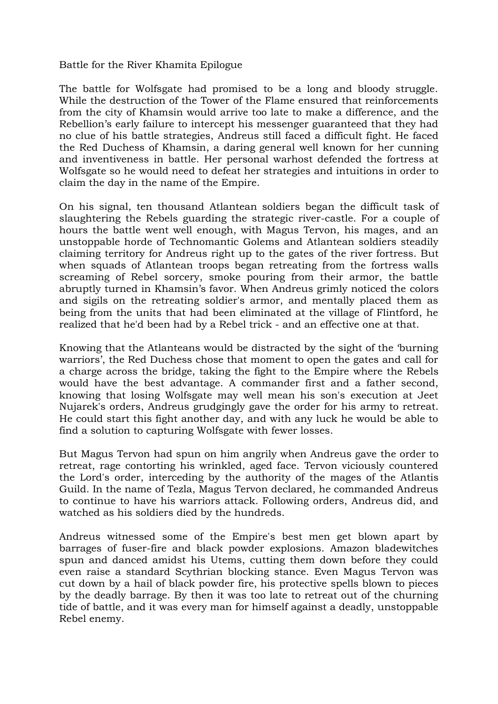Battle for the River Khamita Epilogue

The battle for Wolfsgate had promised to be a long and bloody struggle. While the destruction of the Tower of the Flame ensured that reinforcements from the city of Khamsin would arrive too late to make a difference, and the Rebellion's early failure to intercept his messenger guaranteed that they had no clue of his battle strategies, Andreus still faced a difficult fight. He faced the Red Duchess of Khamsin, a daring general well known for her cunning and inventiveness in battle. Her personal warhost defended the fortress at Wolfsgate so he would need to defeat her strategies and intuitions in order to claim the day in the name of the Empire.

On his signal, ten thousand Atlantean soldiers began the difficult task of slaughtering the Rebels guarding the strategic river-castle. For a couple of hours the battle went well enough, with Magus Tervon, his mages, and an unstoppable horde of Technomantic Golems and Atlantean soldiers steadily claiming territory for Andreus right up to the gates of the river fortress. But when squads of Atlantean troops began retreating from the fortress walls screaming of Rebel sorcery, smoke pouring from their armor, the battle abruptly turned in Khamsin's favor. When Andreus grimly noticed the colors and sigils on the retreating soldier's armor, and mentally placed them as being from the units that had been eliminated at the village of Flintford, he realized that he'd been had by a Rebel trick - and an effective one at that.

Knowing that the Atlanteans would be distracted by the sight of the 'burning warriors', the Red Duchess chose that moment to open the gates and call for a charge across the bridge, taking the fight to the Empire where the Rebels would have the best advantage. A commander first and a father second, knowing that losing Wolfsgate may well mean his son's execution at Jeet Nujarek's orders, Andreus grudgingly gave the order for his army to retreat. He could start this fight another day, and with any luck he would be able to find a solution to capturing Wolfsgate with fewer losses.

But Magus Tervon had spun on him angrily when Andreus gave the order to retreat, rage contorting his wrinkled, aged face. Tervon viciously countered the Lord's order, interceding by the authority of the mages of the Atlantis Guild. In the name of Tezla, Magus Tervon declared, he commanded Andreus to continue to have his warriors attack. Following orders, Andreus did, and watched as his soldiers died by the hundreds.

Andreus witnessed some of the Empire's best men get blown apart by barrages of fuser-fire and black powder explosions. Amazon bladewitches spun and danced amidst his Utems, cutting them down before they could even raise a standard Scythrian blocking stance. Even Magus Tervon was cut down by a hail of black powder fire, his protective spells blown to pieces by the deadly barrage. By then it was too late to retreat out of the churning tide of battle, and it was every man for himself against a deadly, unstoppable Rebel enemy.